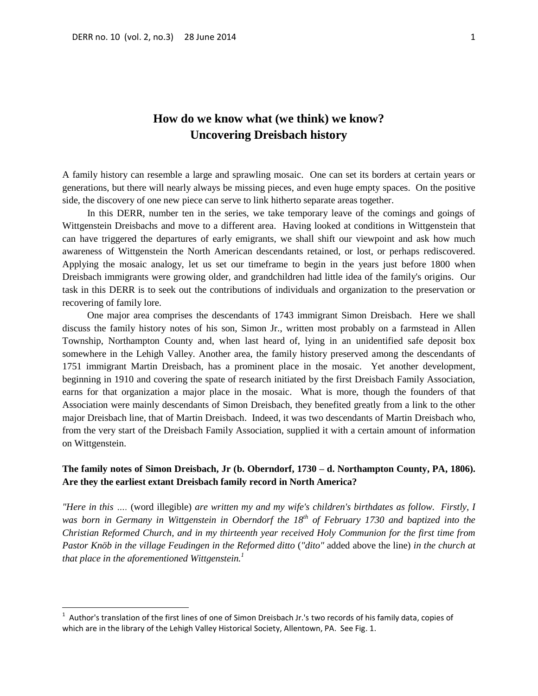# **How do we know what (we think) we know? Uncovering Dreisbach history**

A family history can resemble a large and sprawling mosaic. One can set its borders at certain years or generations, but there will nearly always be missing pieces, and even huge empty spaces. On the positive side, the discovery of one new piece can serve to link hitherto separate areas together.

In this DERR, number ten in the series, we take temporary leave of the comings and goings of Wittgenstein Dreisbachs and move to a different area. Having looked at conditions in Wittgenstein that can have triggered the departures of early emigrants, we shall shift our viewpoint and ask how much awareness of Wittgenstein the North American descendants retained, or lost, or perhaps rediscovered. Applying the mosaic analogy, let us set our timeframe to begin in the years just before 1800 when Dreisbach immigrants were growing older, and grandchildren had little idea of the family's origins. Our task in this DERR is to seek out the contributions of individuals and organization to the preservation or recovering of family lore.

One major area comprises the descendants of 1743 immigrant Simon Dreisbach. Here we shall discuss the family history notes of his son, Simon Jr., written most probably on a farmstead in Allen Township, Northampton County and, when last heard of, lying in an unidentified safe deposit box somewhere in the Lehigh Valley. Another area, the family history preserved among the descendants of 1751 immigrant Martin Dreisbach, has a prominent place in the mosaic. Yet another development, beginning in 1910 and covering the spate of research initiated by the first Dreisbach Family Association, earns for that organization a major place in the mosaic. What is more, though the founders of that Association were mainly descendants of Simon Dreisbach, they benefited greatly from a link to the other major Dreisbach line, that of Martin Dreisbach. Indeed, it was two descendants of Martin Dreisbach who, from the very start of the Dreisbach Family Association, supplied it with a certain amount of information on Wittgenstein.

## **The family notes of Simon Dreisbach, Jr (b. Oberndorf, 1730 – d. Northampton County, PA, 1806). Are they the earliest extant Dreisbach family record in North America?**

*"Here in this ….* (word illegible) *are written my and my wife's children's birthdates as follow. Firstly, I was born in Germany in Wittgenstein in Oberndorf the 18th of February 1730 and baptized into the Christian Reformed Church, and in my thirteenth year received Holy Communion for the first time from Pastor Knöb in the village Feudingen in the Reformed ditto* (*"dito"* added above the line) *in the church at that place in the aforementioned Wittgenstein.<sup>1</sup>*

 1 Author's translation of the first lines of one of Simon Dreisbach Jr.'s two records of his family data, copies of which are in the library of the Lehigh Valley Historical Society, Allentown, PA. See Fig. 1.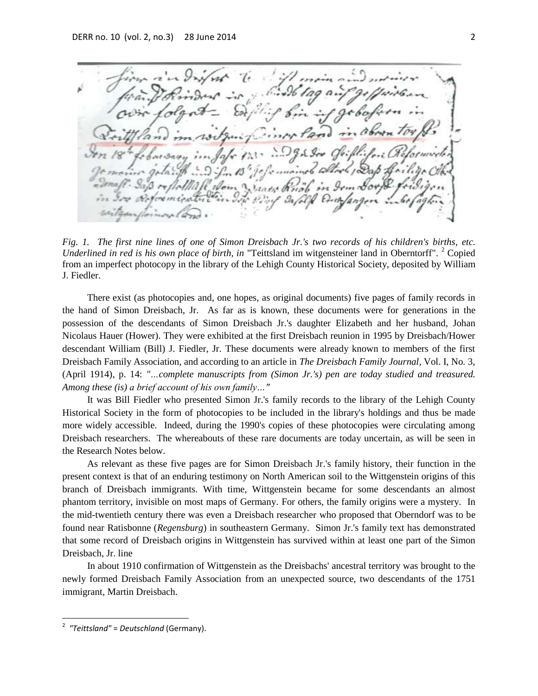L Jose Summers allock / Das  $\epsilon$ m Sorp  $\overline{m}$ 

*Fig. 1. The first nine lines of one of Simon Dreisbach Jr.'s two records of his children's births, etc. Underlined in red is his own place of birth, in* "Teittsland im witgensteiner land in Oberntorff". <sup>2</sup> Copied from an imperfect photocopy in the library of the Lehigh County Historical Society, deposited by William J. Fiedler.

There exist (as photocopies and, one hopes, as original documents) five pages of family records in the hand of Simon Dreisbach, Jr. As far as is known, these documents were for generations in the possession of the descendants of Simon Dreisbach Jr.'s daughter Elizabeth and her husband, Johan Nicolaus Hauer (Hower). They were exhibited at the first Dreisbach reunion in 1995 by Dreisbach/Hower descendant William (Bill) J. Fiedler, Jr. These documents were already known to members of the first Dreisbach Family Association, and according to an article in *The Dreisbach Family Journal,* Vol. I, No. 3, (April 1914), p. 14: *"…complete manuscripts from (Simon Jr.'s) pen are today studied and treasured. Among these (is) a brief account of his own family…"*

It was Bill Fiedler who presented Simon Jr.'s family records to the library of the Lehigh County Historical Society in the form of photocopies to be included in the library's holdings and thus be made more widely accessible. Indeed, during the 1990's copies of these photocopies were circulating among Dreisbach researchers. The whereabouts of these rare documents are today uncertain, as will be seen in the Research Notes below.

As relevant as these five pages are for Simon Dreisbach Jr.'s family history, their function in the present context is that of an enduring testimony on North American soil to the Wittgenstein origins of this branch of Dreisbach immigrants. With time, Wittgenstein became for some descendants an almost phantom territory, invisible on most maps of Germany. For others, the family origins were a mystery. In the mid-twentieth century there was even a Dreisbach researcher who proposed that Oberndorf was to be found near Ratisbonne (*Regensburg*) in southeastern Germany. Simon Jr.'s family text has demonstrated that some record of Dreisbach origins in Wittgenstein has survived within at least one part of the Simon Dreisbach, Jr. line

In about 1910 confirmation of Wittgenstein as the Dreisbachs' ancestral territory was brought to the newly formed Dreisbach Family Association from an unexpected source, two descendants of the 1751 immigrant, Martin Dreisbach.

 $\overline{a}$ 

<sup>2</sup> *"Teittsland"* = *Deutschland* (Germany).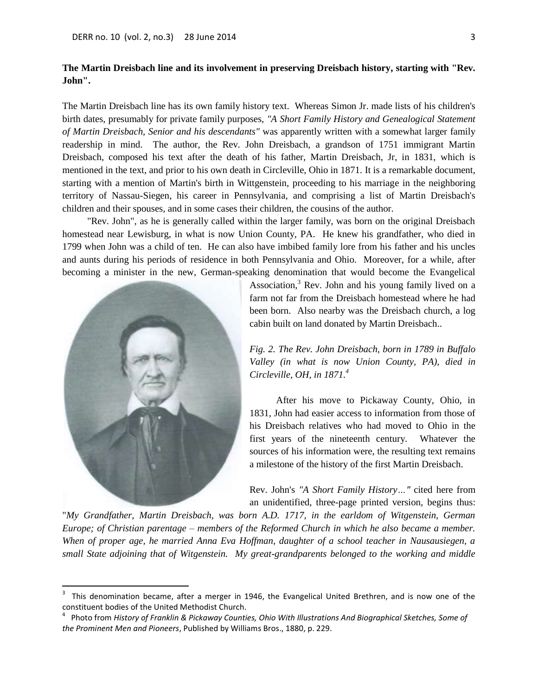## **The Martin Dreisbach line and its involvement in preserving Dreisbach history, starting with "Rev. John".**

The Martin Dreisbach line has its own family history text. Whereas Simon Jr. made lists of his children's birth dates, presumably for private family purposes, *"A Short Family History and Genealogical Statement of Martin Dreisbach, Senior and his descendants"* was apparently written with a somewhat larger family readership in mind. The author, the Rev. John Dreisbach, a grandson of 1751 immigrant Martin Dreisbach, composed his text after the death of his father, Martin Dreisbach, Jr, in 1831, which is mentioned in the text, and prior to his own death in Circleville, Ohio in 1871. It is a remarkable document, starting with a mention of Martin's birth in Wittgenstein, proceeding to his marriage in the neighboring territory of Nassau-Siegen, his career in Pennsylvania, and comprising a list of Martin Dreisbach's children and their spouses, and in some cases their children, the cousins of the author.

"Rev. John", as he is generally called within the larger family, was born on the original Dreisbach homestead near Lewisburg, in what is now Union County, PA. He knew his grandfather, who died in 1799 when John was a child of ten. He can also have imbibed family lore from his father and his uncles and aunts during his periods of residence in both Pennsylvania and Ohio. Moreover, for a while, after becoming a minister in the new, German-speaking denomination that would become the Evangelical



l

Association, $3$  Rev. John and his young family lived on a farm not far from the Dreisbach homestead where he had been born. Also nearby was the Dreisbach church, a log cabin built on land donated by Martin Dreisbach..

*Fig. 2. The Rev. John Dreisbach, born in 1789 in Buffalo Valley (in what is now Union County, PA), died in Circleville, OH, in 1871.<sup>4</sup>* 

 After his move to Pickaway County, Ohio, in 1831, John had easier access to information from those of his Dreisbach relatives who had moved to Ohio in the first years of the nineteenth century. Whatever the sources of his information were, the resulting text remains a milestone of the history of the first Martin Dreisbach.

Rev. John's *"A Short Family History…"* cited here from an unidentified, three-page printed version, begins thus:

"*My Grandfather, Martin Dreisbach, was born A.D. 1717, in the earldom of Witgenstein, German Europe; of Christian parentage – members of the Reformed Church in which he also became a member. When of proper age, he married Anna Eva Hoffman, daughter of a school teacher in Nausausiegen, a small State adjoining that of Witgenstein. My great-grandparents belonged to the working and middle* 

<sup>3</sup> This denomination became, after a merger in 1946, the Evangelical United Brethren, and is now one of the constituent bodies of the United Methodist Church.

<sup>4</sup> Photo from *History of Franklin & Pickaway Counties, Ohio With Illustrations And Biographical Sketches, Some of the Prominent Men and Pioneers*, Published by Williams Bros., 1880, p. 229.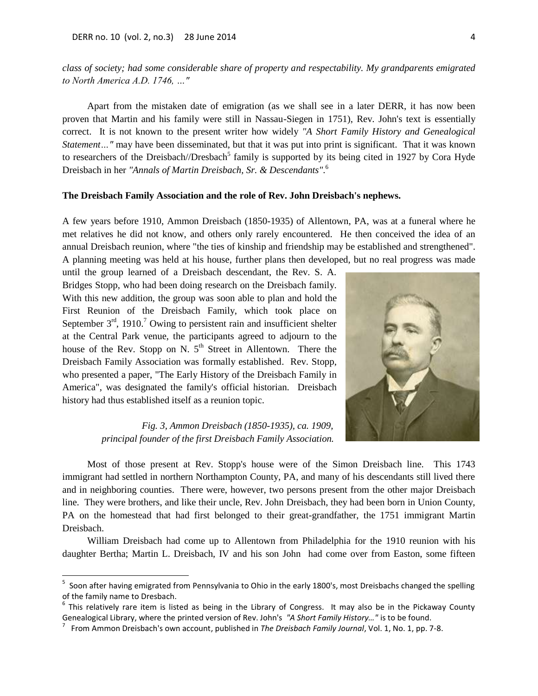*class of society; had some considerable share of property and respectability. My grandparents emigrated to North America A.D. 1746, …"*

Apart from the mistaken date of emigration (as we shall see in a later DERR, it has now been proven that Martin and his family were still in Nassau-Siegen in 1751), Rev. John's text is essentially correct. It is not known to the present writer how widely *"A Short Family History and Genealogical Statement…"* may have been disseminated, but that it was put into print is significant. That it was known to researchers of the Dreisbach//Dresbach<sup>5</sup> family is supported by its being cited in 1927 by Cora Hyde Dreisbach in her *"Annals of Martin Dreisbach, Sr. & Descendants"*. 6

### **The Dreisbach Family Association and the role of Rev. John Dreisbach's nephews.**

A few years before 1910, Ammon Dreisbach (1850-1935) of Allentown, PA, was at a funeral where he met relatives he did not know, and others only rarely encountered. He then conceived the idea of an annual Dreisbach reunion, where "the ties of kinship and friendship may be established and strengthened". A planning meeting was held at his house, further plans then developed, but no real progress was made

until the group learned of a Dreisbach descendant, the Rev. S. A. Bridges Stopp, who had been doing research on the Dreisbach family. With this new addition, the group was soon able to plan and hold the First Reunion of the Dreisbach Family, which took place on September  $3<sup>rd</sup>$ , 1910.<sup>7</sup> Owing to persistent rain and insufficient shelter at the Central Park venue, the participants agreed to adjourn to the house of the Rev. Stopp on N.  $5<sup>th</sup>$  Street in Allentown. There the Dreisbach Family Association was formally established. Rev. Stopp, who presented a paper, "The Early History of the Dreisbach Family in America", was designated the family's official historian. Dreisbach history had thus established itself as a reunion topic.

> *Fig. 3, Ammon Dreisbach (1850-1935), ca. 1909, principal founder of the first Dreisbach Family Association.*



Most of those present at Rev. Stopp's house were of the Simon Dreisbach line. This 1743 immigrant had settled in northern Northampton County, PA, and many of his descendants still lived there and in neighboring counties. There were, however, two persons present from the other major Dreisbach line. They were brothers, and like their uncle, Rev. John Dreisbach, they had been born in Union County, PA on the homestead that had first belonged to their great-grandfather, the 1751 immigrant Martin Dreisbach.

William Dreisbach had come up to Allentown from Philadelphia for the 1910 reunion with his daughter Bertha; Martin L. Dreisbach, IV and his son John had come over from Easton, some fifteen

<sup>&</sup>lt;u>s</u><br><sup>5</sup> Soon after having emigrated from Pennsylvania to Ohio in the early 1800's, most Dreisbachs changed the spelling of the family name to Dresbach.

<sup>&</sup>lt;sup>6</sup> This relatively rare item is listed as being in the Library of Congress. It may also be in the Pickaway County Genealogical Library, where the printed version of Rev. John's *"A Short Family History…"* is to be found.

<sup>7</sup> From Ammon Dreisbach's own account, published in *The Dreisbach Family Journal*, Vol. 1, No. 1, pp. 7-8.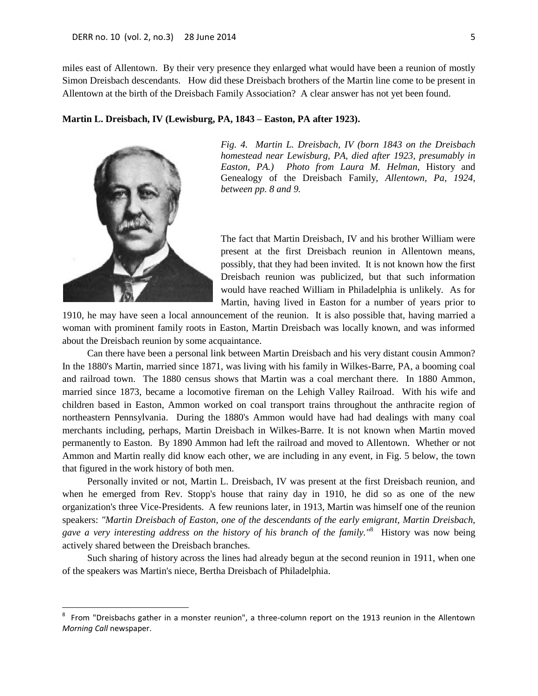miles east of Allentown. By their very presence they enlarged what would have been a reunion of mostly Simon Dreisbach descendants. How did these Dreisbach brothers of the Martin line come to be present in Allentown at the birth of the Dreisbach Family Association? A clear answer has not yet been found.

#### **Martin L. Dreisbach, IV (Lewisburg, PA, 1843 – Easton, PA after 1923).**



 $\overline{\phantom{a}}$ 

*Fig. 4. Martin L. Dreisbach, IV (born 1843 on the Dreisbach homestead near Lewisburg, PA, died after 1923, presumably in Easton, PA.) Photo from Laura M. Helman,* History and Genealogy of the Dreisbach Family, *Allentown, Pa, 1924, between pp. 8 and 9.*

The fact that Martin Dreisbach, IV and his brother William were present at the first Dreisbach reunion in Allentown means, possibly, that they had been invited. It is not known how the first Dreisbach reunion was publicized, but that such information would have reached William in Philadelphia is unlikely. As for Martin, having lived in Easton for a number of years prior to

1910, he may have seen a local announcement of the reunion. It is also possible that, having married a woman with prominent family roots in Easton, Martin Dreisbach was locally known, and was informed about the Dreisbach reunion by some acquaintance.

Can there have been a personal link between Martin Dreisbach and his very distant cousin Ammon? In the 1880's Martin, married since 1871, was living with his family in Wilkes-Barre, PA, a booming coal and railroad town. The 1880 census shows that Martin was a coal merchant there. In 1880 Ammon, married since 1873, became a locomotive fireman on the Lehigh Valley Railroad. With his wife and children based in Easton, Ammon worked on coal transport trains throughout the anthracite region of northeastern Pennsylvania. During the 1880's Ammon would have had had dealings with many coal merchants including, perhaps, Martin Dreisbach in Wilkes-Barre. It is not known when Martin moved permanently to Easton. By 1890 Ammon had left the railroad and moved to Allentown. Whether or not Ammon and Martin really did know each other, we are including in any event, in Fig. 5 below, the town that figured in the work history of both men.

Personally invited or not, Martin L. Dreisbach, IV was present at the first Dreisbach reunion, and when he emerged from Rev. Stopp's house that rainy day in 1910, he did so as one of the new organization's three Vice-Presidents. A few reunions later, in 1913, Martin was himself one of the reunion speakers: *"Martin Dreisbach of Easton, one of the descendants of the early emigrant, Martin Dreisbach, gave a very interesting address on the history of his branch of the family."*<sup>8</sup> History was now being actively shared between the Dreisbach branches.

Such sharing of history across the lines had already begun at the second reunion in 1911, when one of the speakers was Martin's niece, Bertha Dreisbach of Philadelphia.

<sup>8</sup> From "Dreisbachs gather in a monster reunion", a three-column report on the 1913 reunion in the Allentown *Morning Call* newspaper.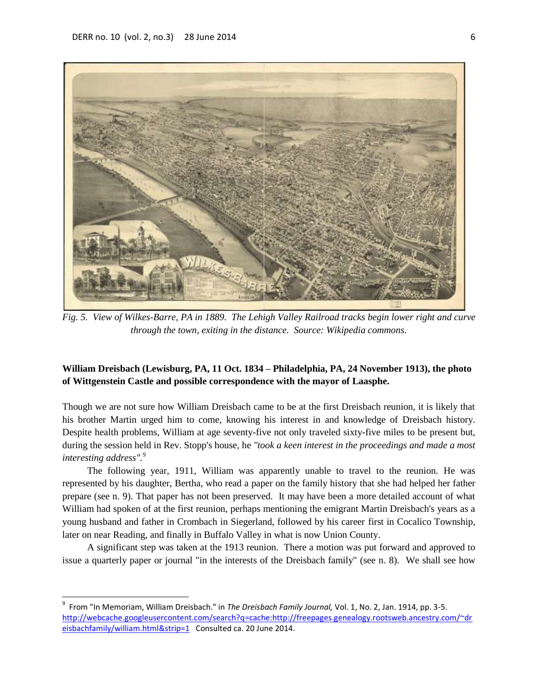$\overline{\phantom{a}}$ 



*Fig. 5. View of Wilkes-Barre, PA in 1889. The Lehigh Valley Railroad tracks begin lower right and curve through the town, exiting in the distance. Source: Wikipedia commons.*

## **William Dreisbach (Lewisburg, PA, 11 Oct. 1834 – Philadelphia, PA, 24 November 1913), the photo of Wittgenstein Castle and possible correspondence with the mayor of Laasphe.**

Though we are not sure how William Dreisbach came to be at the first Dreisbach reunion, it is likely that his brother Martin urged him to come, knowing his interest in and knowledge of Dreisbach history. Despite health problems, William at age seventy-five not only traveled sixty-five miles to be present but, during the session held in Rev. Stopp's house, he *"took a keen interest in the proceedings and made a most interesting address".*<sup>9</sup>

The following year, 1911, William was apparently unable to travel to the reunion. He was represented by his daughter, Bertha, who read a paper on the family history that she had helped her father prepare (see n. 9). That paper has not been preserved. It may have been a more detailed account of what William had spoken of at the first reunion, perhaps mentioning the emigrant Martin Dreisbach's years as a young husband and father in Crombach in Siegerland, followed by his career first in Cocalico Township, later on near Reading, and finally in Buffalo Valley in what is now Union County.

A significant step was taken at the 1913 reunion. There a motion was put forward and approved to issue a quarterly paper or journal "in the interests of the Dreisbach family" (see n. 8). We shall see how

<sup>9</sup> From "In Memoriam, William Dreisbach." in *The Dreisbach Family Journal,* Vol. 1, No. 2, Jan. 1914, pp. 3-5. [http://webcache.googleusercontent.com/search?q=cache:http://freepages.genealogy.rootsweb.ancestry.com/~dr](http://webcache.googleusercontent.com/search?q=cache:http://freepages.genealogy.rootsweb.ancestry.com/~dreisbachfamily/william.html&strip=1) [eisbachfamily/william.html&strip=1](http://webcache.googleusercontent.com/search?q=cache:http://freepages.genealogy.rootsweb.ancestry.com/~dreisbachfamily/william.html&strip=1) Consulted ca. 20 June 2014.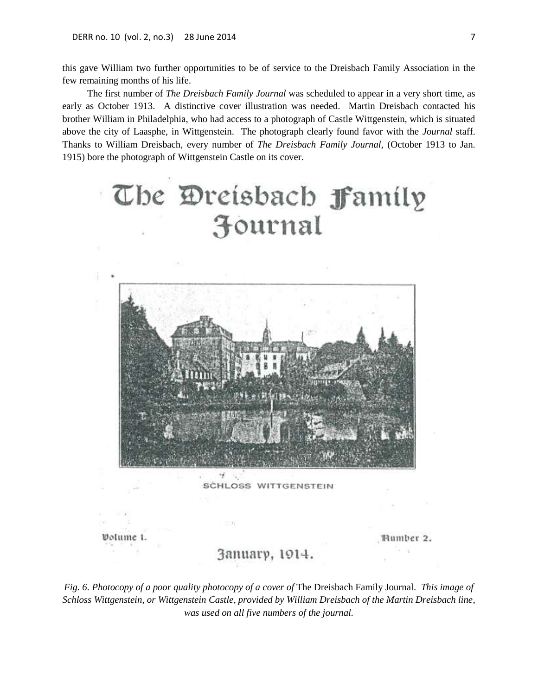this gave William two further opportunities to be of service to the Dreisbach Family Association in the few remaining months of his life.

The first number of *The Dreisbach Family Journal* was scheduled to appear in a very short time, as early as October 1913. A distinctive cover illustration was needed. Martin Dreisbach contacted his brother William in Philadelphia, who had access to a photograph of Castle Wittgenstein, which is situated above the city of Laasphe, in Wittgenstein. The photograph clearly found favor with the *Journal* staff. Thanks to William Dreisbach, every number of *The Dreisbach Family Journal,* (October 1913 to Jan. 1915) bore the photograph of Wittgenstein Castle on its cover.





SCHLOSS WITTGENSTEIN

Volume

Humber 2.

# Запиагу, 1914.

*Fig. 6. Photocopy of a poor quality photocopy of a cover of* The Dreisbach Family Journal. *This image of Schloss Wittgenstein, or Wittgenstein Castle, provided by William Dreisbach of the Martin Dreisbach line, was used on all five numbers of the journal.*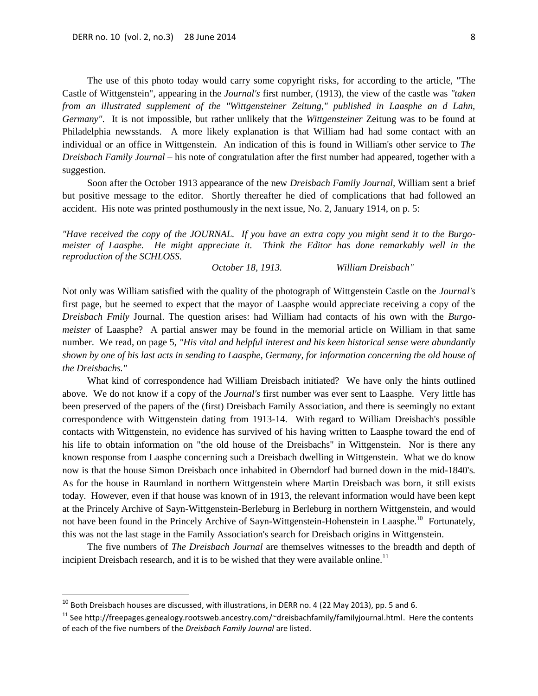The use of this photo today would carry some copyright risks, for according to the article, "The Castle of Wittgenstein", appearing in the *Journal's* first number, (1913), the view of the castle was *"taken from an illustrated supplement of the "Wittgensteiner Zeitung," published in Laasphe an d Lahn, Germany"*. It is not impossible, but rather unlikely that the *Wittgensteiner* Zeitung was to be found at Philadelphia newsstands. A more likely explanation is that William had had some contact with an individual or an office in Wittgenstein. An indication of this is found in William's other service to *The Dreisbach Family Journal* – his note of congratulation after the first number had appeared, together with a suggestion.

Soon after the October 1913 appearance of the new *Dreisbach Family Journal,* William sent a brief but positive message to the editor. Shortly thereafter he died of complications that had followed an accident. His note was printed posthumously in the next issue, No. 2, January 1914, on p. 5:

*"Have received the copy of the JOURNAL. If you have an extra copy you might send it to the Burgomeister of Laasphe. He might appreciate it. Think the Editor has done remarkably well in the reproduction of the SCHLOSS.*

*October 18, 1913. William Dreisbach"*

Not only was William satisfied with the quality of the photograph of Wittgenstein Castle on the *Journal's* first page, but he seemed to expect that the mayor of Laasphe would appreciate receiving a copy of the *Dreisbach Fmily* Journal. The question arises: had William had contacts of his own with the *Burgomeister* of Laasphe? A partial answer may be found in the memorial article on William in that same number. We read, on page 5, *"His vital and helpful interest and his keen historical sense were abundantly shown by one of his last acts in sending to Laasphe, Germany, for information concerning the old house of the Dreisbachs."*

What kind of correspondence had William Dreisbach initiated? We have only the hints outlined above. We do not know if a copy of the *Journal's* first number was ever sent to Laasphe. Very little has been preserved of the papers of the (first) Dreisbach Family Association, and there is seemingly no extant correspondence with Wittgenstein dating from 1913-14. With regard to William Dreisbach's possible contacts with Wittgenstein, no evidence has survived of his having written to Laasphe toward the end of his life to obtain information on "the old house of the Dreisbachs" in Wittgenstein. Nor is there any known response from Laasphe concerning such a Dreisbach dwelling in Wittgenstein. What we do know now is that the house Simon Dreisbach once inhabited in Oberndorf had burned down in the mid-1840's. As for the house in Raumland in northern Wittgenstein where Martin Dreisbach was born, it still exists today. However, even if that house was known of in 1913, the relevant information would have been kept at the Princely Archive of Sayn-Wittgenstein-Berleburg in Berleburg in northern Wittgenstein, and would not have been found in the Princely Archive of Sayn-Wittgenstein-Hohenstein in Laasphe.<sup>10</sup> Fortunately, this was not the last stage in the Family Association's search for Dreisbach origins in Wittgenstein.

The five numbers of *The Dreisbach Journal* are themselves witnesses to the breadth and depth of incipient Dreisbach research, and it is to be wished that they were available online.<sup>11</sup>

 $\overline{\phantom{a}}$ 

 $^{10}$  Both Dreisbach houses are discussed, with illustrations, in DERR no. 4 (22 May 2013), pp. 5 and 6.

<sup>&</sup>lt;sup>11</sup> See http://freepages.genealogy.rootsweb.ancestry.com/~dreisbachfamily/familyjournal.html. Here the contents of each of the five numbers of the *Dreisbach Family Journal* are listed.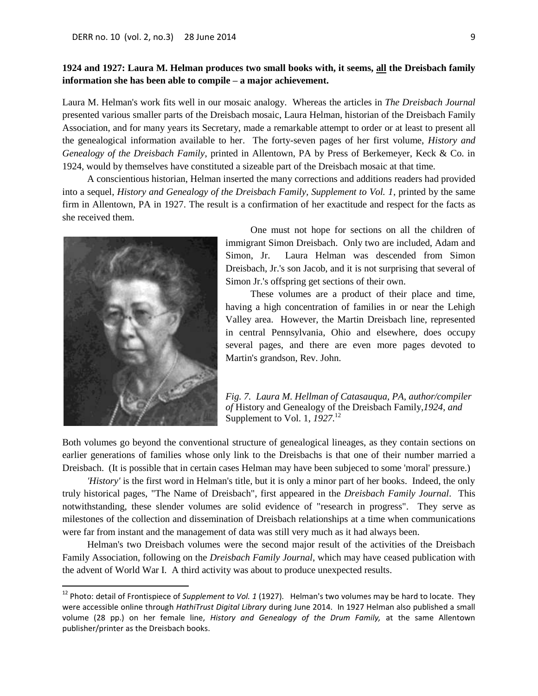## **1924 and 1927: Laura M. Helman produces two small books with, it seems, all the Dreisbach family information she has been able to compile – a major achievement.**

Laura M. Helman's work fits well in our mosaic analogy. Whereas the articles in *The Dreisbach Journal* presented various smaller parts of the Dreisbach mosaic, Laura Helman, historian of the Dreisbach Family Association, and for many years its Secretary, made a remarkable attempt to order or at least to present all the genealogical information available to her. The forty-seven pages of her first volume, *History and Genealogy of the Dreisbach Family*, printed in Allentown, PA by Press of Berkemeyer, Keck & Co. in 1924, would by themselves have constituted a sizeable part of the Dreisbach mosaic at that time.

A conscientious historian, Helman inserted the many corrections and additions readers had provided into a sequel, *History and Genealogy of the Dreisbach Family, Supplement to Vol. 1*, printed by the same firm in Allentown, PA in 1927. The result is a confirmation of her exactitude and respect for the facts as she received them.



l

One must not hope for sections on all the children of immigrant Simon Dreisbach. Only two are included, Adam and Simon, Jr. Laura Helman was descended from Simon Dreisbach, Jr.'s son Jacob, and it is not surprising that several of Simon Jr.'s offspring get sections of their own.

These volumes are a product of their place and time, having a high concentration of families in or near the Lehigh Valley area. However, the Martin Dreisbach line, represented in central Pennsylvania, Ohio and elsewhere, does occupy several pages, and there are even more pages devoted to Martin's grandson, Rev. John.

*Fig. 7. Laura M. Hellman of Catasauqua, PA, author/compiler of* History and Genealogy of the Dreisbach Family,*1924, and* Supplement to Vol. 1, *1927*. 12

Both volumes go beyond the conventional structure of genealogical lineages, as they contain sections on earlier generations of families whose only link to the Dreisbachs is that one of their number married a Dreisbach. (It is possible that in certain cases Helman may have been subjeced to some 'moral' pressure.)

*'History'* is the first word in Helman's title, but it is only a minor part of her books. Indeed, the only truly historical pages, "The Name of Dreisbach", first appeared in the *Dreisbach Family Journal*. This notwithstanding, these slender volumes are solid evidence of "research in progress". They serve as milestones of the collection and dissemination of Dreisbach relationships at a time when communications were far from instant and the management of data was still very much as it had always been.

Helman's two Dreisbach volumes were the second major result of the activities of the Dreisbach Family Association, following on the *Dreisbach Family Journal*, which may have ceased publication with the advent of World War I. A third activity was about to produce unexpected results.

<sup>12</sup> Photo: detail of Frontispiece of *Supplement to Vol. 1* (1927)*.* Helman's two volumes may be hard to locate. They were accessible online through *HathiTrust Digital Library* during June 2014*.* In 1927 Helman also published a small volume (28 pp.) on her female line, *History and Genealogy of the Drum Family,* at the same Allentown publisher/printer as the Dreisbach books.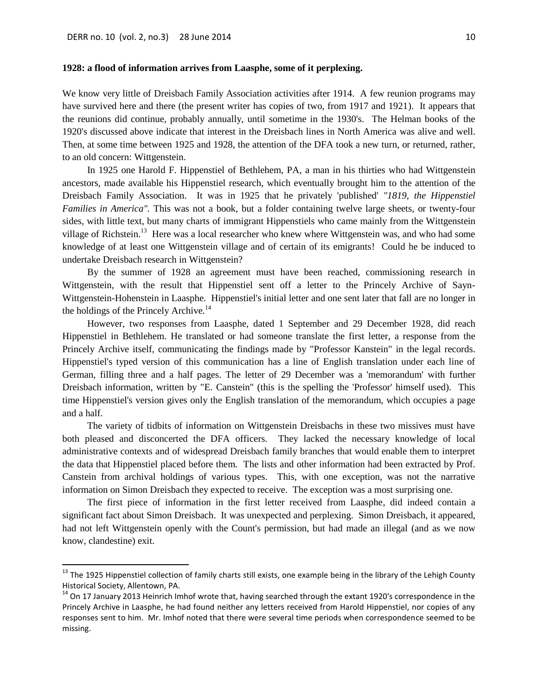l

### **1928: a flood of information arrives from Laasphe, some of it perplexing.**

We know very little of Dreisbach Family Association activities after 1914. A few reunion programs may have survived here and there (the present writer has copies of two, from 1917 and 1921). It appears that the reunions did continue, probably annually, until sometime in the 1930's. The Helman books of the 1920's discussed above indicate that interest in the Dreisbach lines in North America was alive and well. Then, at some time between 1925 and 1928, the attention of the DFA took a new turn, or returned, rather, to an old concern: Wittgenstein.

In 1925 one Harold F. Hippenstiel of Bethlehem, PA, a man in his thirties who had Wittgenstein ancestors, made available his Hippenstiel research, which eventually brought him to the attention of the Dreisbach Family Association. It was in 1925 that he privately 'published' *"1819, the Hippenstiel Families in America".* This was not a book, but a folder containing twelve large sheets, or twenty-four sides, with little text, but many charts of immigrant Hippenstiels who came mainly from the Wittgenstein village of Richstein.<sup>13</sup> Here was a local researcher who knew where Wittgenstein was, and who had some knowledge of at least one Wittgenstein village and of certain of its emigrants! Could he be induced to undertake Dreisbach research in Wittgenstein?

By the summer of 1928 an agreement must have been reached, commissioning research in Wittgenstein, with the result that Hippenstiel sent off a letter to the Princely Archive of Sayn-Wittgenstein-Hohenstein in Laasphe. Hippenstiel's initial letter and one sent later that fall are no longer in the holdings of the Princely Archive.<sup>14</sup>

However, two responses from Laasphe, dated 1 September and 29 December 1928, did reach Hippenstiel in Bethlehem. He translated or had someone translate the first letter, a response from the Princely Archive itself, communicating the findings made by "Professor Kanstein" in the legal records. Hippenstiel's typed version of this communication has a line of English translation under each line of German, filling three and a half pages. The letter of 29 December was a 'memorandum' with further Dreisbach information, written by "E. Canstein" (this is the spelling the 'Professor' himself used). This time Hippenstiel's version gives only the English translation of the memorandum, which occupies a page and a half.

The variety of tidbits of information on Wittgenstein Dreisbachs in these two missives must have both pleased and disconcerted the DFA officers. They lacked the necessary knowledge of local administrative contexts and of widespread Dreisbach family branches that would enable them to interpret the data that Hippenstiel placed before them. The lists and other information had been extracted by Prof. Canstein from archival holdings of various types. This, with one exception, was not the narrative information on Simon Dreisbach they expected to receive. The exception was a most surprising one.

The first piece of information in the first letter received from Laasphe, did indeed contain a significant fact about Simon Dreisbach. It was unexpected and perplexing. Simon Dreisbach, it appeared, had not left Wittgenstein openly with the Count's permission, but had made an illegal (and as we now know, clandestine) exit.

<sup>&</sup>lt;sup>13</sup> The 1925 Hippenstiel collection of family charts still exists, one example being in the library of the Lehigh County Historical Society, Allentown, PA.

 $14$  On 17 January 2013 Heinrich Imhof wrote that, having searched through the extant 1920's correspondence in the Princely Archive in Laasphe, he had found neither any letters received from Harold Hippenstiel, nor copies of any responses sent to him. Mr. Imhof noted that there were several time periods when correspondence seemed to be missing.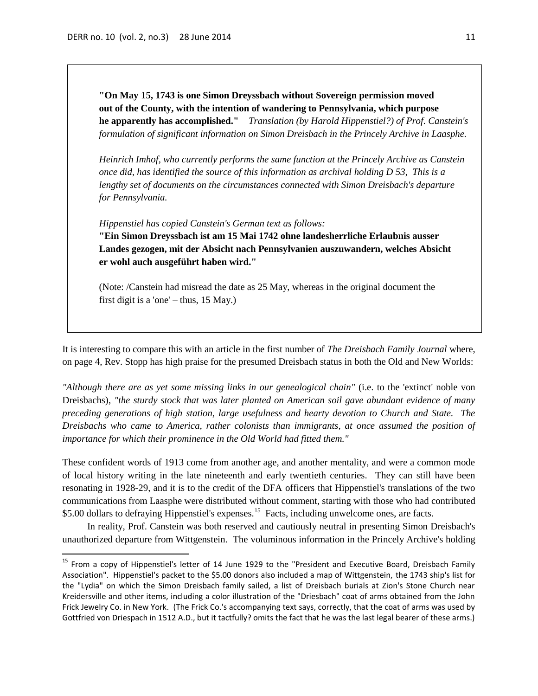$\overline{\phantom{a}}$ 

**"On May 15, 1743 is one Simon Dreyssbach without Sovereign permission moved out of the County, with the intention of wandering to Pennsylvania, which purpose he apparently has accomplished."** *Translation (by Harold Hippenstiel?) of Prof. Canstein's formulation of significant information on Simon Dreisbach in the Princely Archive in Laasphe.* 

*Heinrich Imhof, who currently performs the same function at the Princely Archive as Canstein once did, has identified the source of this information as archival holding D 53, This is a lengthy set of documents on the circumstances connected with Simon Dreisbach's departure for Pennsylvania.*

*Hippenstiel has copied Canstein's German text as follows:* **"Ein Simon Dreyssbach ist am 15 Mai 1742 ohne landesherrliche Erlaubnis ausser Landes gezogen, mit der Absicht nach Pennsylvanien auszuwandern, welches Absicht er wohl auch ausgeführt haben wird."**

(Note: /Canstein had misread the date as 25 May, whereas in the original document the first digit is a 'one' – thus, 15 May.)

It is interesting to compare this with an article in the first number of *The Dreisbach Family Journal* where, on page 4, Rev. Stopp has high praise for the presumed Dreisbach status in both the Old and New Worlds:

*"Although there are as yet some missing links in our genealogical chain"* (i.e. to the 'extinct' noble von Dreisbachs), *"the sturdy stock that was later planted on American soil gave abundant evidence of many preceding generations of high station, large usefulness and hearty devotion to Church and State. The Dreisbachs who came to America, rather colonists than immigrants, at once assumed the position of importance for which their prominence in the Old World had fitted them."*

These confident words of 1913 come from another age, and another mentality, and were a common mode of local history writing in the late nineteenth and early twentieth centuries. They can still have been resonating in 1928-29, and it is to the credit of the DFA officers that Hippenstiel's translations of the two communications from Laasphe were distributed without comment, starting with those who had contributed \$5.00 dollars to defraying Hippenstiel's expenses.<sup>15</sup> Facts, including unwelcome ones, are facts.

In reality, Prof. Canstein was both reserved and cautiously neutral in presenting Simon Dreisbach's unauthorized departure from Wittgenstein. The voluminous information in the Princely Archive's holding

<sup>&</sup>lt;sup>15</sup> From a copy of Hippenstiel's letter of 14 June 1929 to the "President and Executive Board, Dreisbach Family Association". Hippenstiel's packet to the \$5.00 donors also included a map of Wittgenstein, the 1743 ship's list for the "Lydia" on which the Simon Dreisbach family sailed, a list of Dreisbach burials at Zion's Stone Church near Kreidersville and other items, including a color illustration of the "Driesbach" coat of arms obtained from the John Frick Jewelry Co. in New York. (The Frick Co.'s accompanying text says, correctly, that the coat of arms was used by Gottfried von Driespach in 1512 A.D., but it tactfully? omits the fact that he was the last legal bearer of these arms.)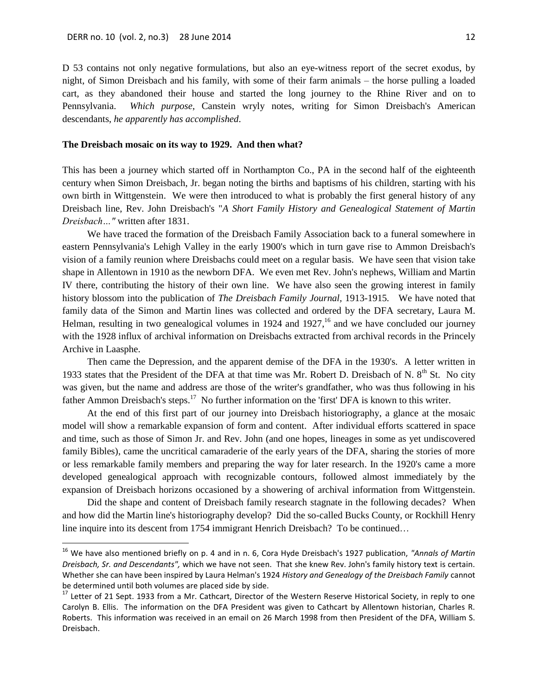$\overline{a}$ 

D 53 contains not only negative formulations, but also an eye-witness report of the secret exodus, by night, of Simon Dreisbach and his family, with some of their farm animals – the horse pulling a loaded cart, as they abandoned their house and started the long journey to the Rhine River and on to Pennsylvania. *Which purpose*, Canstein wryly notes, writing for Simon Dreisbach's American descendants, *he apparently has accomplished*.

### **The Dreisbach mosaic on its way to 1929. And then what?**

This has been a journey which started off in Northampton Co., PA in the second half of the eighteenth century when Simon Dreisbach, Jr. began noting the births and baptisms of his children, starting with his own birth in Wittgenstein. We were then introduced to what is probably the first general history of any Dreisbach line, Rev. John Dreisbach's "*A Short Family History and Genealogical Statement of Martin Dreisbach…"* written after 1831.

We have traced the formation of the Dreisbach Family Association back to a funeral somewhere in eastern Pennsylvania's Lehigh Valley in the early 1900's which in turn gave rise to Ammon Dreisbach's vision of a family reunion where Dreisbachs could meet on a regular basis. We have seen that vision take shape in Allentown in 1910 as the newborn DFA. We even met Rev. John's nephews, William and Martin IV there, contributing the history of their own line. We have also seen the growing interest in family history blossom into the publication of *The Dreisbach Family Journal,* 1913-1915*.* We have noted that family data of the Simon and Martin lines was collected and ordered by the DFA secretary, Laura M. Helman, resulting in two genealogical volumes in 1924 and 1927,<sup>16</sup> and we have concluded our journey with the 1928 influx of archival information on Dreisbachs extracted from archival records in the Princely Archive in Laasphe.

Then came the Depression, and the apparent demise of the DFA in the 1930's. A letter written in 1933 states that the President of the DFA at that time was Mr. Robert D. Dreisbach of N.  $8<sup>th</sup>$  St. No city was given, but the name and address are those of the writer's grandfather, who was thus following in his father Ammon Dreisbach's steps.<sup>17</sup> No further information on the 'first' DFA is known to this writer.

At the end of this first part of our journey into Dreisbach historiography, a glance at the mosaic model will show a remarkable expansion of form and content. After individual efforts scattered in space and time, such as those of Simon Jr. and Rev. John (and one hopes, lineages in some as yet undiscovered family Bibles), came the uncritical camaraderie of the early years of the DFA, sharing the stories of more or less remarkable family members and preparing the way for later research. In the 1920's came a more developed genealogical approach with recognizable contours, followed almost immediately by the expansion of Dreisbach horizons occasioned by a showering of archival information from Wittgenstein.

Did the shape and content of Dreisbach family research stagnate in the following decades? When and how did the Martin line's historiography develop? Did the so-called Bucks County, or Rockhill Henry line inquire into its descent from 1754 immigrant Henrich Dreisbach? To be continued…

<sup>16</sup> We have also mentioned briefly on p. 4 and in n. 6, Cora Hyde Dreisbach's 1927 publication, *"Annals of Martin Dreisbach, Sr. and Descendants",* which we have not seen. That she knew Rev. John's family history text is certain. Whether she can have been inspired by Laura Helman's 1924 *History and Genealogy of the Dreisbach Family* cannot be determined until both volumes are placed side by side.

<sup>&</sup>lt;sup>17</sup> Letter of 21 Sept. 1933 from a Mr. Cathcart, Director of the Western Reserve Historical Society, in reply to one Carolyn B. Ellis. The information on the DFA President was given to Cathcart by Allentown historian, Charles R. Roberts. This information was received in an email on 26 March 1998 from then President of the DFA, William S. Dreisbach.